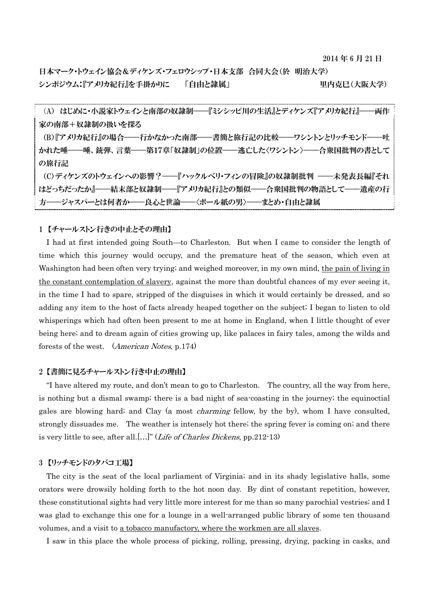2014 年 6 月 21 日

日本マーク・トウェイン協会&ディケンズ・フェロウシップ・日本支部 合同大会(於 明治大学) シンポジウム:『アメリカ紀行』を手掛かりに 「自由と隷属」 里内克巳(大阪大学)

(A) はじめに・小説家トウェインと南部の奴隷制——『ミシシッピ川の生活』とディケンズ『アメリカ紀行』——両作 家の南部+奴隷制の扱いを探る (B)『アメリカ紀行』の場合——行かなかった南部——書簡と旅行記の比較——ワシントンとリッチモンド——吐 かれた唾——唾、銃弾、言葉——第17章「奴隷制」の位置——逃亡した〈ワシントン〉——合衆国批判の書として の旅行記 (C)ディケンズのトウェインへの影響?——『ハックルベリ・フィンの冒険』の奴隷制批判 ——未発表長編『それ はどっちだったか』——結末部と奴隷制——『アメリカ紀行』との類似——合衆国批判の物語として——遺産の行 方——ジャスパーとは何者か——良心と世論——〈ボール紙の男〉——まとめ・自由と隷属

## 1 【チャールストン行きの中止とその理由】

I had at first intended going South—to Charleston. But when I came to consider the length of time which this journey would occupy, and the premature heat of the season, which even at Washington had been often very trying; and weighed moreover, in my own mind, the pain of living in the constant contemplation of slavery, against the more than doubtful chances of my ever seeing it, in the time I had to spare, stripped of the disguises in which it would certainly be dressed, and so adding any item to the host of facts already heaped together on the subject; I began to listen to old whisperings which had often been present to me at home in England, when I little thought of ever being here; and to dream again of cities growing up, like palaces in fairy tales, among the wilds and forests of the west. (American Notes, p.174)

## 2 【書簡に見るチャールストン行き中止の理由】

"I have altered my route, and don't mean to go to Charleston. The country, all the way from here, is nothing but a dismal swamp; there is a bad night of sea-coasting in the journey; the equinoctial gales are blowing hard; and Clay (a most charming fellow, by the by), whom I have consulted, strongly dissuades me. The weather is intensely hot there; the spring fever is coming on; and there is very little to see, after all.[…]" (Life of Charles Dickens, pp.212-13)

#### 3 【リッチモンドのタバコ工場】

The city is the seat of the local parliament of Virginia; and in its shady legislative halls, some orators were drowsily holding forth to the hot noon day. By dint of constant repetition, however, these constitutional sights had very little more interest for me than so many parochial vestries; and I was glad to exchange this one for a lounge in a well-arranged public library of some ten thousand volumes, and a visit to a tobacco manufactory, where the workmen are all slaves.

I saw in this place the whole process of picking, rolling, pressing, drying, packing in casks, and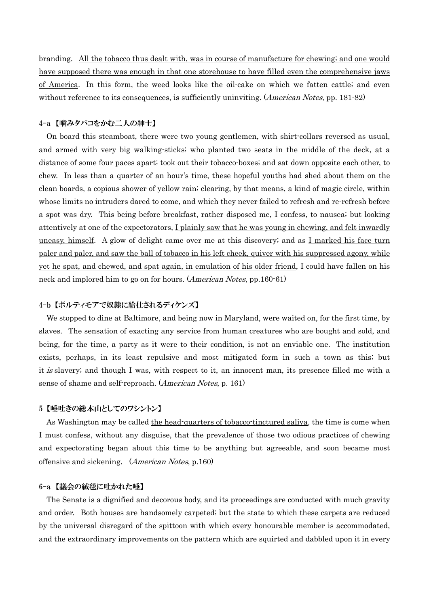branding. All the tobacco thus dealt with, was in course of manufacture for chewing; and one would have supposed there was enough in that one storehouse to have filled even the comprehensive jaws of America. In this form, the weed looks like the oil-cake on which we fatten cattle; and even without reference to its consequences, is sufficiently uninviting. *(American Notes*, pp. 181-82)

# 4-a 【噛みタバコをかむ二人の紳士】

On board this steamboat, there were two young gentlemen, with shirt-collars reversed as usual, and armed with very big walking-sticks; who planted two seats in the middle of the deck, at a distance of some four paces apart; took out their tobacco-boxes; and sat down opposite each other, to chew. In less than a quarter of an hour's time, these hopeful youths had shed about them on the clean boards, a copious shower of yellow rain; clearing, by that means, a kind of magic circle, within whose limits no intruders dared to come, and which they never failed to refresh and re-refresh before a spot was dry. This being before breakfast, rather disposed me, I confess, to nausea; but looking attentively at one of the expectorators, I plainly saw that he was young in chewing, and felt inwardly uneasy, himself. A glow of delight came over me at this discovery; and as I marked his face turn paler and paler, and saw the ball of tobacco in his left cheek, quiver with his suppressed agony, while yet he spat, and chewed, and spat again, in emulation of his older friend, I could have fallen on his neck and implored him to go on for hours. (American Notes, pp.160-61)

# 4-b 【ボルティモアで奴隷に給仕されるディケンズ】

 We stopped to dine at Baltimore, and being now in Maryland, were waited on, for the first time, by slaves. The sensation of exacting any service from human creatures who are bought and sold, and being, for the time, a party as it were to their condition, is not an enviable one. The institution exists, perhaps, in its least repulsive and most mitigated form in such a town as this; but it is slavery; and though I was, with respect to it, an innocent man, its presence filled me with a sense of shame and self-reproach. (American Notes, p. 161)

## 5 【唾吐きの総本山としてのワシントン】

As Washington may be called the head-quarters of tobacco-tinctured saliva, the time is come when I must confess, without any disguise, that the prevalence of those two odious practices of chewing and expectorating began about this time to be anything but agreeable, and soon became most offensive and sickening. (American Notes, p.160)

# 6-a 【議会の絨毯に吐かれた唾】

 The Senate is a dignified and decorous body, and its proceedings are conducted with much gravity and order. Both houses are handsomely carpeted; but the state to which these carpets are reduced by the universal disregard of the spittoon with which every honourable member is accommodated, and the extraordinary improvements on the pattern which are squirted and dabbled upon it in every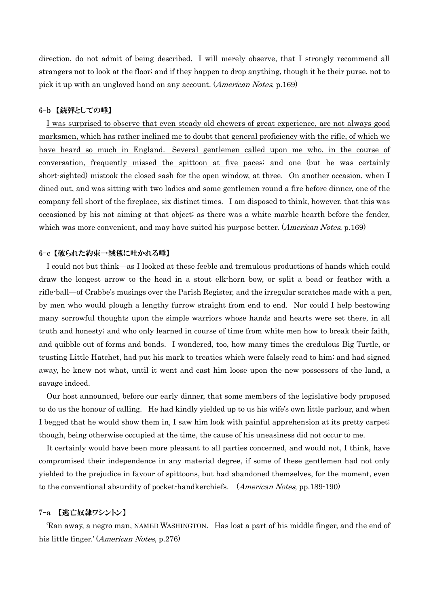direction, do not admit of being described. I will merely observe, that I strongly recommend all strangers not to look at the floor; and if they happen to drop anything, though it be their purse, not to pick it up with an ungloved hand on any account. (American Notes, p.169)

# 6-b 【銃弾としての唾】

 I was surprised to observe that even steady old chewers of great experience, are not always good marksmen, which has rather inclined me to doubt that general proficiency with the rifle, of which we have heard so much in England. Several gentlemen called upon me who, in the course of conversation, frequently missed the spittoon at five paces; and one (but he was certainly short-sighted) mistook the closed sash for the open window, at three. On another occasion, when I dined out, and was sitting with two ladies and some gentlemen round a fire before dinner, one of the company fell short of the fireplace, six distinct times. I am disposed to think, however, that this was occasioned by his not aiming at that object; as there was a white marble hearth before the fender, which was more convenient, and may have suited his purpose better. (American Notes, p.169)

## 6-c 【破られた約束→絨毯に吐かれる唾】

I could not but think—as I looked at these feeble and tremulous productions of hands which could draw the longest arrow to the head in a stout elk-horn bow, or split a bead or feather with a rifle-ball—of Crabbe's musings over the Parish Register, and the irregular scratches made with a pen, by men who would plough a lengthy furrow straight from end to end. Nor could I help bestowing many sorrowful thoughts upon the simple warriors whose hands and hearts were set there, in all truth and honesty; and who only learned in course of time from white men how to break their faith, and quibble out of forms and bonds. I wondered, too, how many times the credulous Big Turtle, or trusting Little Hatchet, had put his mark to treaties which were falsely read to him; and had signed away, he knew not what, until it went and cast him loose upon the new possessors of the land, a savage indeed.

 Our host announced, before our early dinner, that some members of the legislative body proposed to do us the honour of calling. He had kindly yielded up to us his wife's own little parlour, and when I begged that he would show them in, I saw him look with painful apprehension at its pretty carpet; though, being otherwise occupied at the time, the cause of his uneasiness did not occur to me.

 It certainly would have been more pleasant to all parties concerned, and would not, I think, have compromised their independence in any material degree, if some of these gentlemen had not only yielded to the prejudice in favour of spittoons, but had abandoned themselves, for the moment, even to the conventional absurdity of pocket-handkerchiefs. (American Notes, pp.189-190)

## 7-a 【逃亡奴隷ワシントン】

'Ran away, a negro man, NAMED WASHINGTON. Has lost a part of his middle finger, and the end of his little finger.' (*American Notes*, p.276)